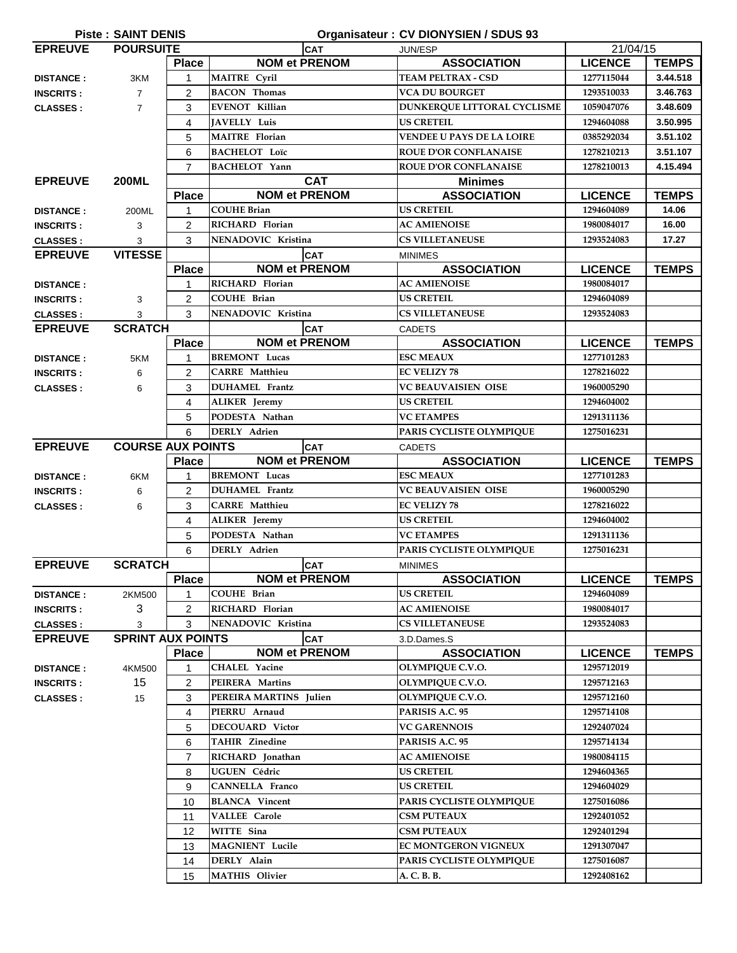| <b>Piste: SAINT DENIS</b><br>Organisateur : CV DIONYSIEN / SDUS 93 |                          |                |                        |                                  |                |              |  |  |
|--------------------------------------------------------------------|--------------------------|----------------|------------------------|----------------------------------|----------------|--------------|--|--|
| <b>EPREUVE</b><br><b>POURSUITE</b>                                 |                          | <b>CAT</b>     |                        | JUN/ESP                          | 21/04/15       |              |  |  |
|                                                                    |                          | <b>Place</b>   | <b>NOM et PRENOM</b>   | <b>ASSOCIATION</b>               | <b>LICENCE</b> | <b>TEMPS</b> |  |  |
| <b>DISTANCE:</b>                                                   | 3KM                      | 1              | MAITRE Cyril           | <b>TEAM PELTRAX - CSD</b>        | 1277115044     | 3.44.518     |  |  |
| <b>INSCRITS:</b>                                                   | $\overline{7}$           | 2              | <b>BACON</b> Thomas    | <b>VCA DU BOURGET</b>            | 1293510033     | 3.46.763     |  |  |
| <b>CLASSES:</b>                                                    | $\overline{7}$           | 3              | <b>EVENOT Killian</b>  | DUNKERQUE LITTORAL CYCLISME      | 1059047076     | 3.48.609     |  |  |
|                                                                    |                          | 4              | JAVELLY Luis           | <b>US CRETEIL</b>                | 1294604088     | 3.50.995     |  |  |
|                                                                    |                          | 5              | <b>MAITRE</b> Florian  | <b>VENDEE U PAYS DE LA LOIRE</b> | 0385292034     | 3.51.102     |  |  |
|                                                                    |                          | 6              | <b>BACHELOT Loïc</b>   | <b>ROUE D'OR CONFLANAISE</b>     | 1278210213     | 3.51.107     |  |  |
|                                                                    |                          | $\overline{7}$ | <b>BACHELOT</b> Yann   | <b>ROUE D'OR CONFLANAISE</b>     | 1278210013     | 4.15.494     |  |  |
| <b>EPREUVE</b>                                                     | <b>200ML</b>             |                | <b>CAT</b>             | <b>Minimes</b>                   |                |              |  |  |
|                                                                    |                          | <b>Place</b>   | <b>NOM et PRENOM</b>   | <b>ASSOCIATION</b>               | <b>LICENCE</b> | <b>TEMPS</b> |  |  |
| <b>DISTANCE:</b>                                                   | 200ML                    | $\mathbf{1}$   | <b>COUHE Brian</b>     | <b>US CRETEIL</b>                | 1294604089     | 14.06        |  |  |
| <b>INSCRITS:</b>                                                   | 3                        | $\overline{2}$ | RICHARD Florian        | <b>AC AMIENOISE</b>              | 1980084017     | 16.00        |  |  |
| <b>CLASSES:</b>                                                    | 3                        | 3              | NENADOVIC Kristina     | <b>CS VILLETANEUSE</b>           | 1293524083     | 17.27        |  |  |
| <b>EPREUVE</b>                                                     | <b>VITESSE</b>           |                | <b>CAT</b>             | <b>MINIMES</b>                   |                |              |  |  |
|                                                                    |                          | <b>Place</b>   | <b>NOM et PRENOM</b>   | <b>ASSOCIATION</b>               | <b>LICENCE</b> | <b>TEMPS</b> |  |  |
| <b>DISTANCE:</b>                                                   |                          | 1              | RICHARD Florian        | <b>AC AMIENOISE</b>              | 1980084017     |              |  |  |
| <b>INSCRITS:</b>                                                   | 3                        | 2              | <b>COUHE Brian</b>     | <b>US CRETEIL</b>                | 1294604089     |              |  |  |
| <b>CLASSES:</b>                                                    | 3                        | 3              | NENADOVIC Kristina     | <b>CS VILLETANEUSE</b>           | 1293524083     |              |  |  |
| <b>EPREUVE</b>                                                     | <b>SCRATCH</b>           |                | <b>CAT</b>             | <b>CADETS</b>                    |                |              |  |  |
|                                                                    |                          | <b>Place</b>   | <b>NOM et PRENOM</b>   | <b>ASSOCIATION</b>               | <b>LICENCE</b> | <b>TEMPS</b> |  |  |
| <b>DISTANCE:</b>                                                   | 5KM                      | 1              | <b>BREMONT Lucas</b>   | <b>ESC MEAUX</b>                 | 1277101283     |              |  |  |
| <b>INSCRITS:</b>                                                   | 6                        | $\overline{c}$ | <b>CARRE</b> Matthieu  | <b>EC VELIZY 78</b>              | 1278216022     |              |  |  |
| <b>CLASSES:</b>                                                    | 6                        | 3              | <b>DUHAMEL</b> Frantz  | <b>VC BEAUVAISIEN OISE</b>       | 1960005290     |              |  |  |
|                                                                    |                          | 4              | <b>ALIKER</b> Jeremy   | <b>US CRETEIL</b>                | 1294604002     |              |  |  |
|                                                                    |                          | 5              | PODESTA Nathan         | <b>VC ETAMPES</b>                | 1291311136     |              |  |  |
|                                                                    |                          | 6              | DERLY Adrien           | PARIS CYCLISTE OLYMPIQUE         | 1275016231     |              |  |  |
| <b>EPREUVE</b>                                                     | <b>COURSE AUX POINTS</b> |                | <b>CAT</b>             | <b>CADETS</b>                    |                |              |  |  |
|                                                                    |                          | <b>Place</b>   | <b>NOM et PRENOM</b>   | <b>ASSOCIATION</b>               | <b>LICENCE</b> | <b>TEMPS</b> |  |  |
| <b>DISTANCE:</b>                                                   | 6KM                      | 1              | <b>BREMONT</b> Lucas   | <b>ESC MEAUX</b>                 | 1277101283     |              |  |  |
| <b>INSCRITS:</b>                                                   | 6                        | 2              | <b>DUHAMEL</b> Frantz  | <b>VC BEAUVAISIEN OISE</b>       | 1960005290     |              |  |  |
| <b>CLASSES:</b>                                                    | 6                        | 3              | <b>CARRE</b> Matthieu  | <b>EC VELIZY 78</b>              | 1278216022     |              |  |  |
|                                                                    |                          | 4              | <b>ALIKER</b> Jeremy   | <b>US CRETEIL</b>                | 1294604002     |              |  |  |
|                                                                    |                          | 5              | PODESTA Nathan         | <b>VC ETAMPES</b>                | 1291311136     |              |  |  |
|                                                                    |                          | 6              | <b>DERLY</b> Adrien    | PARIS CYCLISTE OLYMPIQUE         | 1275016231     |              |  |  |
| <b>EPREUVE</b>                                                     | <b>SCRATCH</b>           |                | CAT                    | <b>MINIMES</b>                   |                |              |  |  |
|                                                                    |                          | <b>Place</b>   | <b>NOM et PRENOM</b>   | <b>ASSOCIATION</b>               | <b>LICENCE</b> | <b>TEMPS</b> |  |  |
| <b>DISTANCE:</b>                                                   | 2KM500                   | 1              | <b>COUHE Brian</b>     | <b>US CRETEIL</b>                | 1294604089     |              |  |  |
| <b>INSCRITS:</b>                                                   | 3                        | 2              | RICHARD Florian        | <b>AC AMIENOISE</b>              | 1980084017     |              |  |  |
| <b>CLASSES:</b>                                                    | 3                        | 3              | NENADOVIC Kristina     | <b>CS VILLETANEUSE</b>           | 1293524083     |              |  |  |
| <b>EPREUVE</b>                                                     | <b>SPRINT AUX POINTS</b> |                | <b>CAT</b>             | 3.D.Dames.S                      |                |              |  |  |
|                                                                    |                          | <b>Place</b>   | <b>NOM et PRENOM</b>   | <b>ASSOCIATION</b>               | <b>LICENCE</b> | <b>TEMPS</b> |  |  |
| <b>DISTANCE:</b>                                                   | 4KM500                   | 1              | <b>CHALEL Yacine</b>   | OLYMPIQUE C.V.O.                 | 1295712019     |              |  |  |
| <b>INSCRITS:</b>                                                   | 15                       | 2              | PEIRERA Martins        | OLYMPIQUE C.V.O.                 | 1295712163     |              |  |  |
| <b>CLASSES:</b>                                                    | 15                       | 3              | PEREIRA MARTINS Julien | <b>OLYMPIQUE C.V.O.</b>          | 1295712160     |              |  |  |
|                                                                    |                          | 4              | PIERRU Arnaud          | PARISIS A.C. 95                  | 1295714108     |              |  |  |
|                                                                    |                          | 5              | DECOUARD Victor        | <b>VC GARENNOIS</b>              | 1292407024     |              |  |  |
|                                                                    |                          | 6              | <b>TAHIR Zinedine</b>  | PARISIS A.C. 95                  | 1295714134     |              |  |  |
|                                                                    |                          | 7              | RICHARD Jonathan       | <b>AC AMIENOISE</b>              | 1980084115     |              |  |  |
|                                                                    |                          | 8              | UGUEN Cédric           | <b>US CRETEIL</b>                | 1294604365     |              |  |  |
|                                                                    |                          | 9              | <b>CANNELLA Franco</b> | <b>US CRETEIL</b>                | 1294604029     |              |  |  |
|                                                                    |                          | 10             | <b>BLANCA</b> Vincent  | PARIS CYCLISTE OLYMPIQUE         | 1275016086     |              |  |  |
|                                                                    |                          | 11             | <b>VALLEE Carole</b>   | <b>CSM PUTEAUX</b>               | 1292401052     |              |  |  |
|                                                                    |                          | 12             | WITTE Sina             | <b>CSM PUTEAUX</b>               | 1292401294     |              |  |  |
|                                                                    |                          | 13             | <b>MAGNIENT</b> Lucile | EC MONTGERON VIGNEUX             | 1291307047     |              |  |  |
|                                                                    |                          | 14             | DERLY Alain            | PARIS CYCLISTE OLYMPIQUE         | 1275016087     |              |  |  |
|                                                                    |                          | 15             | <b>MATHIS Olivier</b>  | A. C. B. B.                      | 1292408162     |              |  |  |
|                                                                    |                          |                |                        |                                  |                |              |  |  |